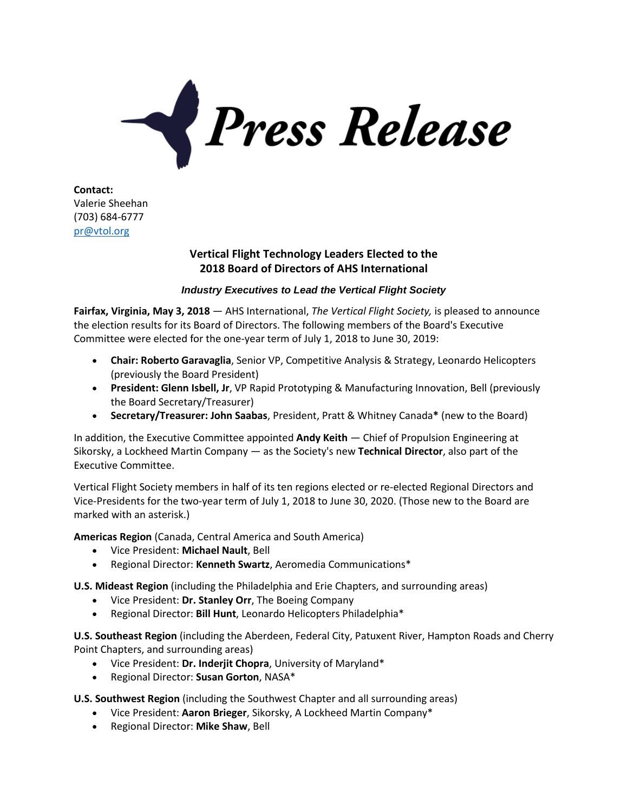

**Contact:** Valerie Sheehan (703) 684-6777 [pr@vtol.org](mailto:pr@vtol.org)

## **Vertical Flight Technology Leaders Elected to the 2018 Board of Directors of AHS International**

## *Industry Executives to Lead the Vertical Flight Society*

**Fairfax, Virginia, May 3, 2018** — AHS International, *The Vertical Flight Society,* is pleased to announce the election results for its Board of Directors. The following members of the Board's Executive Committee were elected for the one-year term of July 1, 2018 to June 30, 2019:

- **Chair: Roberto Garavaglia**, Senior VP, Competitive Analysis & Strategy, Leonardo Helicopters (previously the Board President)
- **President: Glenn Isbell, Jr**, VP Rapid Prototyping & Manufacturing Innovation, Bell (previously the Board Secretary/Treasurer)
- **Secretary/Treasurer: John Saabas**, President, Pratt & Whitney Canada**\*** (new to the Board)

In addition, the Executive Committee appointed **Andy Keith** — Chief of Propulsion Engineering at Sikorsky, a Lockheed Martin Company — as the Society's new **Technical Director**, also part of the Executive Committee.

Vertical Flight Society members in half of its ten regions elected or re-elected Regional Directors and Vice-Presidents for the two-year term of July 1, 2018 to June 30, 2020. (Those new to the Board are marked with an asterisk.)

**Americas Region** (Canada, Central America and South America)

- Vice President: **Michael Nault**, Bell
- Regional Director: **Kenneth Swartz**, Aeromedia Communications\*

**U.S. Mideast Region** (including the Philadelphia and Erie Chapters, and surrounding areas)

- Vice President: **Dr. Stanley Orr**, The Boeing Company
- Regional Director: **Bill Hunt**, Leonardo Helicopters Philadelphia\*

**U.S. Southeast Region** (including the Aberdeen, Federal City, Patuxent River, Hampton Roads and Cherry Point Chapters, and surrounding areas)

- Vice President: **Dr. Inderjit Chopra**, University of Maryland\*
- Regional Director: **Susan Gorton**, NASA\*

**U.S. Southwest Region** (including the Southwest Chapter and all surrounding areas)

- Vice President: **Aaron Brieger**, Sikorsky, A Lockheed Martin Company\*
- Regional Director: **Mike Shaw**, Bell